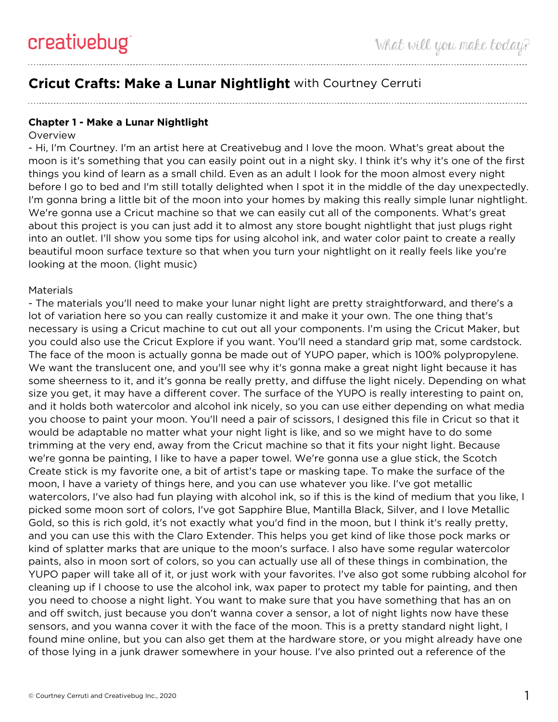# **Cricut Crafts: Make a Lunar Nightlight** with Courtney Cerruti

## **Chapter 1 - Make a Lunar Nightlight**

#### **Overview**

- Hi, I'm Courtney. I'm an artist here at Creativebug and I love the moon. What's great about the moon is it's something that you can easily point out in a night sky. I think it's why it's one of the first things you kind of learn as a small child. Even as an adult I look for the moon almost every night before I go to bed and I'm still totally delighted when I spot it in the middle of the day unexpectedly. I'm gonna bring a little bit of the moon into your homes by making this really simple lunar nightlight. We're gonna use a Cricut machine so that we can easily cut all of the components. What's great about this project is you can just add it to almost any store bought nightlight that just plugs right into an outlet. I'll show you some tips for using alcohol ink, and water color paint to create a really beautiful moon surface texture so that when you turn your nightlight on it really feels like you're looking at the moon. (light music)

## Materials

- The materials you'll need to make your lunar night light are pretty straightforward, and there's a lot of variation here so you can really customize it and make it your own. The one thing that's necessary is using a Cricut machine to cut out all your components. I'm using the Cricut Maker, but you could also use the Cricut Explore if you want. You'll need a standard grip mat, some cardstock. The face of the moon is actually gonna be made out of YUPO paper, which is 100% polypropylene. We want the translucent one, and you'll see why it's gonna make a great night light because it has some sheerness to it, and it's gonna be really pretty, and diffuse the light nicely. Depending on what size you get, it may have a different cover. The surface of the YUPO is really interesting to paint on, and it holds both watercolor and alcohol ink nicely, so you can use either depending on what media you choose to paint your moon. You'll need a pair of scissors, I designed this file in Cricut so that it would be adaptable no matter what your night light is like, and so we might have to do some trimming at the very end, away from the Cricut machine so that it fits your night light. Because we're gonna be painting, I like to have a paper towel. We're gonna use a glue stick, the Scotch Create stick is my favorite one, a bit of artist's tape or masking tape. To make the surface of the moon, I have a variety of things here, and you can use whatever you like. I've got metallic watercolors, I've also had fun playing with alcohol ink, so if this is the kind of medium that you like, I picked some moon sort of colors, I've got Sapphire Blue, Mantilla Black, Silver, and I love Metallic Gold, so this is rich gold, it's not exactly what you'd find in the moon, but I think it's really pretty, and you can use this with the Claro Extender. This helps you get kind of like those pock marks or kind of splatter marks that are unique to the moon's surface. I also have some regular watercolor paints, also in moon sort of colors, so you can actually use all of these things in combination, the YUPO paper will take all of it, or just work with your favorites. I've also got some rubbing alcohol for cleaning up if I choose to use the alcohol ink, wax paper to protect my table for painting, and then you need to choose a night light. You want to make sure that you have something that has an on and off switch, just because you don't wanna cover a sensor, a lot of night lights now have these sensors, and you wanna cover it with the face of the moon. This is a pretty standard night light, I found mine online, but you can also get them at the hardware store, or you might already have one of those lying in a junk drawer somewhere in your house. I've also printed out a reference of the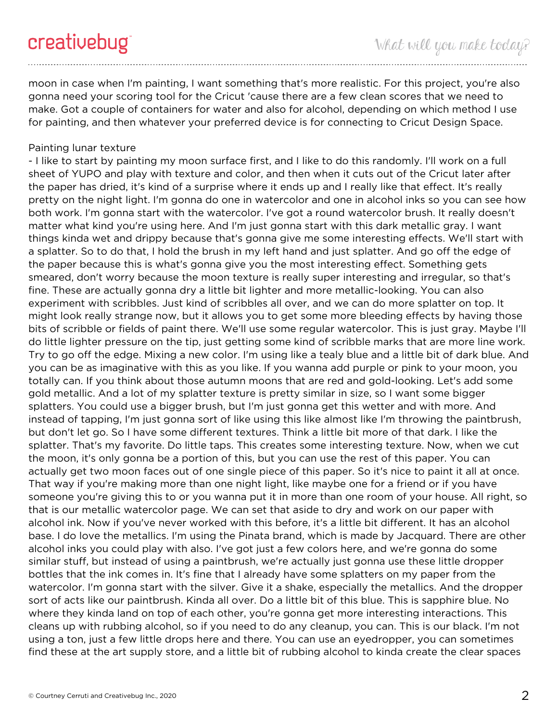moon in case when I'm painting, I want something that's more realistic. For this project, you're also gonna need your scoring tool for the Cricut 'cause there are a few clean scores that we need to make. Got a couple of containers for water and also for alcohol, depending on which method I use for painting, and then whatever your preferred device is for connecting to Cricut Design Space.

### Painting lunar texture

- I like to start by painting my moon surface first, and I like to do this randomly. I'll work on a full sheet of YUPO and play with texture and color, and then when it cuts out of the Cricut later after the paper has dried, it's kind of a surprise where it ends up and I really like that effect. It's really pretty on the night light. I'm gonna do one in watercolor and one in alcohol inks so you can see how both work. I'm gonna start with the watercolor. I've got a round watercolor brush. It really doesn't matter what kind you're using here. And I'm just gonna start with this dark metallic gray. I want things kinda wet and drippy because that's gonna give me some interesting effects. We'll start with a splatter. So to do that, I hold the brush in my left hand and just splatter. And go off the edge of the paper because this is what's gonna give you the most interesting effect. Something gets smeared, don't worry because the moon texture is really super interesting and irregular, so that's fine. These are actually gonna dry a little bit lighter and more metallic-looking. You can also experiment with scribbles. Just kind of scribbles all over, and we can do more splatter on top. It might look really strange now, but it allows you to get some more bleeding effects by having those bits of scribble or fields of paint there. We'll use some regular watercolor. This is just gray. Maybe I'll do little lighter pressure on the tip, just getting some kind of scribble marks that are more line work. Try to go off the edge. Mixing a new color. I'm using like a tealy blue and a little bit of dark blue. And you can be as imaginative with this as you like. If you wanna add purple or pink to your moon, you totally can. If you think about those autumn moons that are red and gold-looking. Let's add some gold metallic. And a lot of my splatter texture is pretty similar in size, so I want some bigger splatters. You could use a bigger brush, but I'm just gonna get this wetter and with more. And instead of tapping, I'm just gonna sort of like using this like almost like I'm throwing the paintbrush, but don't let go. So I have some different textures. Think a little bit more of that dark. I like the splatter. That's my favorite. Do little taps. This creates some interesting texture. Now, when we cut the moon, it's only gonna be a portion of this, but you can use the rest of this paper. You can actually get two moon faces out of one single piece of this paper. So it's nice to paint it all at once. That way if you're making more than one night light, like maybe one for a friend or if you have someone you're giving this to or you wanna put it in more than one room of your house. All right, so that is our metallic watercolor page. We can set that aside to dry and work on our paper with alcohol ink. Now if you've never worked with this before, it's a little bit different. It has an alcohol base. I do love the metallics. I'm using the Pinata brand, which is made by Jacquard. There are other alcohol inks you could play with also. I've got just a few colors here, and we're gonna do some similar stuff, but instead of using a paintbrush, we're actually just gonna use these little dropper bottles that the ink comes in. It's fine that I already have some splatters on my paper from the watercolor. I'm gonna start with the silver. Give it a shake, especially the metallics. And the dropper sort of acts like our paintbrush. Kinda all over. Do a little bit of this blue. This is sapphire blue. No where they kinda land on top of each other, you're gonna get more interesting interactions. This cleans up with rubbing alcohol, so if you need to do any cleanup, you can. This is our black. I'm not using a ton, just a few little drops here and there. You can use an eyedropper, you can sometimes find these at the art supply store, and a little bit of rubbing alcohol to kinda create the clear spaces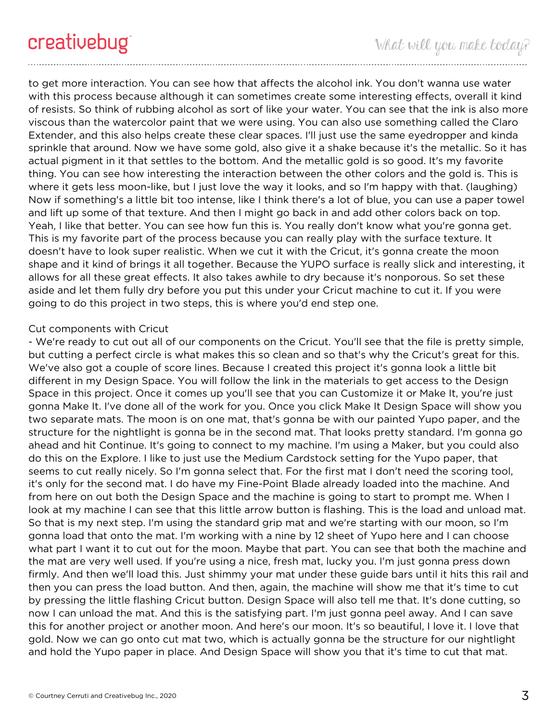to get more interaction. You can see how that affects the alcohol ink. You don't wanna use water with this process because although it can sometimes create some interesting effects, overall it kind of resists. So think of rubbing alcohol as sort of like your water. You can see that the ink is also more viscous than the watercolor paint that we were using. You can also use something called the Claro Extender, and this also helps create these clear spaces. I'll just use the same eyedropper and kinda sprinkle that around. Now we have some gold, also give it a shake because it's the metallic. So it has actual pigment in it that settles to the bottom. And the metallic gold is so good. It's my favorite thing. You can see how interesting the interaction between the other colors and the gold is. This is where it gets less moon-like, but I just love the way it looks, and so I'm happy with that. (laughing) Now if something's a little bit too intense, like I think there's a lot of blue, you can use a paper towel and lift up some of that texture. And then I might go back in and add other colors back on top. Yeah, I like that better. You can see how fun this is. You really don't know what you're gonna get. This is my favorite part of the process because you can really play with the surface texture. It doesn't have to look super realistic. When we cut it with the Cricut, it's gonna create the moon shape and it kind of brings it all together. Because the YUPO surface is really slick and interesting, it allows for all these great effects. It also takes awhile to dry because it's nonporous. So set these aside and let them fully dry before you put this under your Cricut machine to cut it. If you were going to do this project in two steps, this is where you'd end step one.

## Cut components with Cricut

- We're ready to cut out all of our components on the Cricut. You'll see that the file is pretty simple, but cutting a perfect circle is what makes this so clean and so that's why the Cricut's great for this. We've also got a couple of score lines. Because I created this project it's gonna look a little bit different in my Design Space. You will follow the link in the materials to get access to the Design Space in this project. Once it comes up you'll see that you can Customize it or Make It, you're just gonna Make It. I've done all of the work for you. Once you click Make It Design Space will show you two separate mats. The moon is on one mat, that's gonna be with our painted Yupo paper, and the structure for the nightlight is gonna be in the second mat. That looks pretty standard. I'm gonna go ahead and hit Continue. It's going to connect to my machine. I'm using a Maker, but you could also do this on the Explore. I like to just use the Medium Cardstock setting for the Yupo paper, that seems to cut really nicely. So I'm gonna select that. For the first mat I don't need the scoring tool, it's only for the second mat. I do have my Fine-Point Blade already loaded into the machine. And from here on out both the Design Space and the machine is going to start to prompt me. When I look at my machine I can see that this little arrow button is flashing. This is the load and unload mat. So that is my next step. I'm using the standard grip mat and we're starting with our moon, so I'm gonna load that onto the mat. I'm working with a nine by 12 sheet of Yupo here and I can choose what part I want it to cut out for the moon. Maybe that part. You can see that both the machine and the mat are very well used. If you're using a nice, fresh mat, lucky you. I'm just gonna press down firmly. And then we'll load this. Just shimmy your mat under these guide bars until it hits this rail and then you can press the load button. And then, again, the machine will show me that it's time to cut by pressing the little flashing Cricut button. Design Space will also tell me that. It's done cutting, so now I can unload the mat. And this is the satisfying part. I'm just gonna peel away. And I can save this for another project or another moon. And here's our moon. It's so beautiful, I love it. I love that gold. Now we can go onto cut mat two, which is actually gonna be the structure for our nightlight and hold the Yupo paper in place. And Design Space will show you that it's time to cut that mat.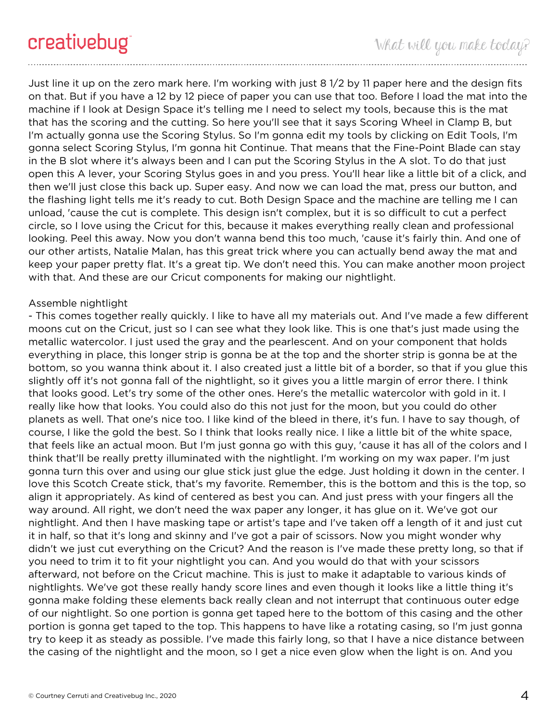Just line it up on the zero mark here. I'm working with just 8 1/2 by 11 paper here and the design fits on that. But if you have a 12 by 12 piece of paper you can use that too. Before I load the mat into the machine if I look at Design Space it's telling me I need to select my tools, because this is the mat that has the scoring and the cutting. So here you'll see that it says Scoring Wheel in Clamp B, but I'm actually gonna use the Scoring Stylus. So I'm gonna edit my tools by clicking on Edit Tools, I'm gonna select Scoring Stylus, I'm gonna hit Continue. That means that the Fine-Point Blade can stay in the B slot where it's always been and I can put the Scoring Stylus in the A slot. To do that just open this A lever, your Scoring Stylus goes in and you press. You'll hear like a little bit of a click, and then we'll just close this back up. Super easy. And now we can load the mat, press our button, and the flashing light tells me it's ready to cut. Both Design Space and the machine are telling me I can unload, 'cause the cut is complete. This design isn't complex, but it is so difficult to cut a perfect circle, so I love using the Cricut for this, because it makes everything really clean and professional looking. Peel this away. Now you don't wanna bend this too much, 'cause it's fairly thin. And one of our other artists, Natalie Malan, has this great trick where you can actually bend away the mat and keep your paper pretty flat. It's a great tip. We don't need this. You can make another moon project with that. And these are our Cricut components for making our nightlight.

#### Assemble nightlight

- This comes together really quickly. I like to have all my materials out. And I've made a few different moons cut on the Cricut, just so I can see what they look like. This is one that's just made using the metallic watercolor. I just used the gray and the pearlescent. And on your component that holds everything in place, this longer strip is gonna be at the top and the shorter strip is gonna be at the bottom, so you wanna think about it. I also created just a little bit of a border, so that if you glue this slightly off it's not gonna fall of the nightlight, so it gives you a little margin of error there. I think that looks good. Let's try some of the other ones. Here's the metallic watercolor with gold in it. I really like how that looks. You could also do this not just for the moon, but you could do other planets as well. That one's nice too. I like kind of the bleed in there, it's fun. I have to say though, of course, I like the gold the best. So I think that looks really nice. I like a little bit of the white space, that feels like an actual moon. But I'm just gonna go with this guy, 'cause it has all of the colors and I think that'll be really pretty illuminated with the nightlight. I'm working on my wax paper. I'm just gonna turn this over and using our glue stick just glue the edge. Just holding it down in the center. I love this Scotch Create stick, that's my favorite. Remember, this is the bottom and this is the top, so align it appropriately. As kind of centered as best you can. And just press with your fingers all the way around. All right, we don't need the wax paper any longer, it has glue on it. We've got our nightlight. And then I have masking tape or artist's tape and I've taken off a length of it and just cut it in half, so that it's long and skinny and I've got a pair of scissors. Now you might wonder why didn't we just cut everything on the Cricut? And the reason is I've made these pretty long, so that if you need to trim it to fit your nightlight you can. And you would do that with your scissors afterward, not before on the Cricut machine. This is just to make it adaptable to various kinds of nightlights. We've got these really handy score lines and even though it looks like a little thing it's gonna make folding these elements back really clean and not interrupt that continuous outer edge of our nightlight. So one portion is gonna get taped here to the bottom of this casing and the other portion is gonna get taped to the top. This happens to have like a rotating casing, so I'm just gonna try to keep it as steady as possible. I've made this fairly long, so that I have a nice distance between the casing of the nightlight and the moon, so I get a nice even glow when the light is on. And you